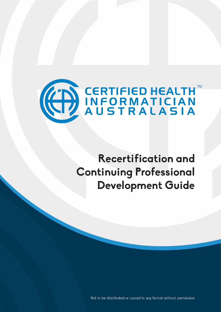

# **Recertification and Continuing Professional Development Guide**

Not to be distributed or copied in any format without permission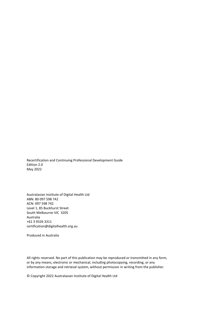Recertification and Continuing Professional Development Guide Edition 2.0 May 2022

Australasian Institute of Digital Health Ltd ABN: 80 097 598 742 ACN: 097 598 742 Level 1, 85 Buckhurst Street South Melbourne VIC 3205 Australia +61 3 9326 3311 certification@digitalhealth.org.au

Produced in Australia

All rights reserved. No part of this publication may be reproduced or transmitted in any form, or by any means, electronic or mechanical, including photocopying, recording, or any information storage and retrieval system, without permission in writing from the publisher.

© Copyright 2022 Australasian Institute of Digital Health Ltd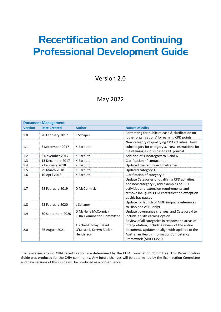# Recertification and Continuing Professional Development Guide

Version 2.0

# May 2022

| <b>Document Management</b> |                     |                                                                    |                                                                                                                                                                                                                            |
|----------------------------|---------------------|--------------------------------------------------------------------|----------------------------------------------------------------------------------------------------------------------------------------------------------------------------------------------------------------------------|
| <b>Version</b>             | <b>Date Created</b> | <b>Author</b>                                                      | <b>Nature of edits</b>                                                                                                                                                                                                     |
| 1.0                        | 20 February 2017    | L Schaper                                                          | Formatting for public release & clarification on<br>'other organisations' for earning CPD points                                                                                                                           |
| 1.1                        | 5 September 2017    | K Barbuto                                                          | New category of qualifying CPD activities. New<br>subcategory for category 3. New instructions for<br>maintaining a cloud-based CPD journal.                                                                               |
| 1.2                        | 2 November 2017     | K Barbuto                                                          | Addition of subcategory to 5 and 6.                                                                                                                                                                                        |
| 1.3                        | 13 December 2017    | K Barbuto                                                          | Clarification of contact hour                                                                                                                                                                                              |
| 1.4                        | 7 February 2018     | K Barbuto                                                          | Updated the reminder timeframes                                                                                                                                                                                            |
| 1.5                        | 29 March 2018       | K Barbuto                                                          | Updated category 1                                                                                                                                                                                                         |
| 1.6                        | 10 April 2018       | K Barbuto                                                          | Clarification of category 2                                                                                                                                                                                                |
| 1.7                        | 28 February 2019    | D McCormick                                                        | Update Categories of qualifying CPD activities,<br>add new category 8, add examples of CPD<br>activities and extension requirements and<br>remove inaugural CHIA recertification exception<br>as this has passed           |
| 1.8                        | 23 February 2020    | L Schaper                                                          | Update for launch of AIDH (impacts references<br>to HISA and ACHI only)                                                                                                                                                    |
| 1.9                        | 30 September 2020   | D McNeile McCormick<br><b>CHIA Examination Committee</b>           | Update governance changes, and Category 4 to<br>include a sixth earning option                                                                                                                                             |
| 2.0                        | 26 August 2021      | J Bichel-Findlay, David<br>O'Driscoll, Kerryn Butler-<br>Henderson | Review of all categories in response to areas of<br>interpretation, including review of the entire<br>document. Updates to align with updates to the<br>Australian Health Informatics Competency<br>Framework (AHICF) V2.0 |

The processes around CHIA recertification are determined by the CHIA Examination Committee. This Recertification Guide was produced for the CHIA community. Any future changes will be determined by the Examination Committee and new versions of this Guide will be produced as a consequence.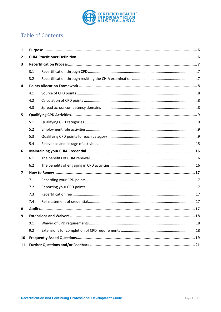

## Table of Contents

| 1              |     |  |
|----------------|-----|--|
| $\mathbf{2}$   |     |  |
| 3              |     |  |
|                | 3.1 |  |
|                | 3.2 |  |
| 4              |     |  |
|                | 4.1 |  |
|                | 4.2 |  |
|                | 4.3 |  |
| 5              |     |  |
|                | 5.1 |  |
|                | 5.2 |  |
|                | 5.3 |  |
|                | 5.4 |  |
| 6              |     |  |
|                | 6.1 |  |
|                | 6.2 |  |
| $\overline{ }$ |     |  |
|                | 7.1 |  |
|                | 7.2 |  |
|                | 7.3 |  |
|                | 7.4 |  |
| 8              |     |  |
| 9              |     |  |
|                | 9.1 |  |
|                | 9.2 |  |
| 10             |     |  |
| 11             |     |  |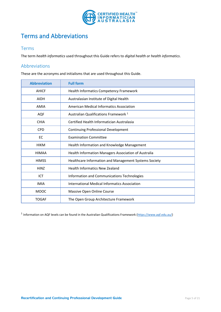

# Terms and Abbreviations

#### Terms

The term *health informatics* used throughout this Guide refers to *digital health or health informatics*.

#### Abbreviations

These are the acronyms and initialisms that are used throughout this Guide.

| <b>Abbreviation</b> | <b>Full form</b>                                      |
|---------------------|-------------------------------------------------------|
| <b>AHICF</b>        | Health Informatics Competency Framework               |
| <b>AIDH</b>         | Australasian Institute of Digital Health              |
| <b>AMIA</b>         | American Medical Informatics Association              |
| <b>AQF</b>          | Australian Qualifications Framework <sup>1</sup>      |
| <b>CHIA</b>         | Certified Health Informatician Australasia            |
| <b>CPD</b>          | <b>Continuing Professional Development</b>            |
| EC                  | <b>Examination Committee</b>                          |
| <b>HIKM</b>         | Health Information and Knowledge Management           |
| <b>HIMAA</b>        | Health Information Managers Association of Australia  |
| <b>HIMSS</b>        | Healthcare Information and Management Systems Society |
| HiNZ                | <b>Health Informatics New Zealand</b>                 |
| ICT                 | Information and Communications Technologies           |
| <b>IMIA</b>         | International Medical Informatics Association         |
| <b>MOOC</b>         | Massive Open Online Course                            |
| <b>TOGAF</b>        | The Open Group Architecture Framework                 |

<sup>1</sup> Information on AQF levels can be found in the Australian Qualifications Framework [\(https://www.aqf.edu.au/\)](https://www.aqf.edu.au/)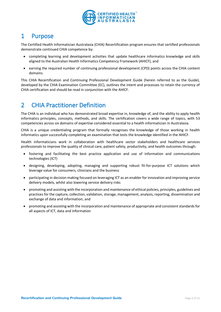

## <span id="page-5-0"></span>1 Purpose

The Certified Health Informatician Australasia (CHIA) Recertification program ensures that certified professionals demonstrate continued CHIA competence by:

- completing learning and development activities that update healthcare informatics knowledge and skills aligned to the Australian Health Informatics Competency Framework (AHICF), and
- earning the required number of continuing professional development (CPD) points across the CHIA content domains.

This CHIA Recertification and Continuing Professional Development Guide (herein referred to as the Guide), developed by the CHIA Examination Committee (EC), outlines the intent and processes to retain the currency of CHIA certification and should be read in conjunction with the AHICF.

# <span id="page-5-1"></span>2 CHIA Practitioner Definition

The CHIA is an individual who has demonstrated broad expertise in, knowledge of, and the ability to apply health informatics principles, concepts, methods, and skills. The certification covers a wide range of topics, with 53 competencies across six domains of expertise considered essential to a health informatician in Australasia.

CHIA is a unique credentialing program that formally recognises the knowledge of those working in health informatics upon successfully completing an examination that tests the knowledge identified in the AHICF.

Health informaticians work in collaboration with healthcare sector stakeholders and healthcare services professionals to improve the quality of clinical care, patient safety, productivity, and health outcomes through:

- fostering and facilitating the best practice application and use of information and communications technologies (ICT)
- designing, developing, adopting, managing and supporting robust fit-for-purpose ICT solutions which leverage value for consumers, clinicians and the business
- participating in decision making focused on leveraging ICT as an enabler for innovation and improving service delivery models, whilst also lowering service delivery risks
- promoting and assisting with the incorporation and maintenance of ethical policies, principles, guidelines and practices for the capture, collection, validation, storage, management, analysis, reporting, dissemination and exchange of data and information; and
- promoting and assisting with the incorporation and maintenance of appropriate and consistent standards for all aspects of ICT, data and information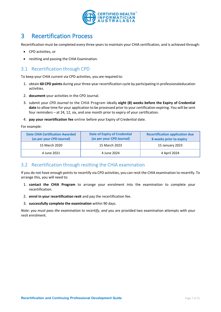

# <span id="page-6-0"></span>3 Recertification Process

Recertification must be completed every three years to maintain your CHIA certification, and is achieved through:

- CPD activities, or
- resitting and passing the CHIA Examination.

### <span id="page-6-1"></span>3.1 Recertification through CPD

To keep your CHIA current via CPD activities, you are required to:

- 1. obtain **60 CPD points** during your three-year recertification cycle by participating in professionaleducation activities.
- 2. **document** your activities in the CPD Journal.
- 3. submit your *CPD Journal* to the CHIA Program ideally **eight (8) weeks before the Expiry of Credential date** to allow time for your application to be processed prior to your certification expiring. You will be sent four reminders – at 24, 12, six, and one month prior to expiry of your certification.
- 4. **pay your recertification fee** online before your Expiry of Credential date.

For example:

| <b>Date CHIA Certification Awarded</b><br>(as per your CPD Journal) | <b>Date of Expiry of Credential</b><br>(as per your CPD Journal) | <b>Recertification application due</b><br>8 weeks prior to expiry |
|---------------------------------------------------------------------|------------------------------------------------------------------|-------------------------------------------------------------------|
| 15 March 2020                                                       | 15 March 2023                                                    | 15 January 2023                                                   |
| 4 June 2021                                                         | 4 June 2024                                                      | 4 April 2024                                                      |

#### <span id="page-6-2"></span>3.2 Recertification through resitting the CHIA examination

If you do not have enough points to recertify via CPD activities, you can resit the CHIA examination to recertify. To arrange this, you will need to:

- 1. **contact the CHIA Program** to arrange your enrolment into the examination to complete your recertification.
- 2. **enrol in your recertification resit** and pay the recertification fee.
- 3. **successfully complete the examination** within 90 days.

*Note: you must pass the examination to recertify, and* you are provided two examination attempts with your resit enrolment.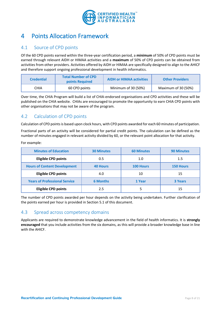

# <span id="page-7-0"></span>4 Points Allocation Framework

### <span id="page-7-1"></span>4.1 Source of CPD points

Of the 60 CPD points earned within the three-year certification period, a **minimum** of 50% of CPD points must be earned through relevant AIDH or HIMAA activities and a **maximum** of 50% of CPD points can be obtained from activities from other providers. Activities offered by AIDH or HIMAA are specifically designed to align to the AHICF and therefore support ongoing professional development in health informatics.

| <b>Credential</b> | <b>Total Number of CPD</b><br><b>points Required</b> | <b>AIDH or HIMAA activities</b> | <b>Other Providers</b> |
|-------------------|------------------------------------------------------|---------------------------------|------------------------|
| CHIA              | 60 CPD points                                        | Minimum of 30 (50%)             | Maximum of 30 (50%)    |

Over time, the CHIA Program will build a list of CHIA-endorsed organisations and CPD activities and these will be published on the CHIA website. CHIAs are encouraged to promote the opportunity to earn CHIA CPD points with other organisations that may not be aware of the program.

### <span id="page-7-2"></span>4.2 Calculation of CPD points

Calculation of CPD points is based upon clock hours, with CPD points awarded for each 60 minutes of participation.

Fractional parts of an activity will be considered for partial credit points. The calculation can be defined as the number of minutes engaged in relevant activity divided by 60, or the relevant point allocation for that activity.

|  | For example: |  |
|--|--------------|--|
|--|--------------|--|

| <b>Minutes of Education</b>          | <b>30 Minutes</b> | <b>60 Minutes</b> | <b>90 Minutes</b> |
|--------------------------------------|-------------------|-------------------|-------------------|
| <b>Eligible CPD points</b>           | 0.5               | 1.0               | $1.5\,$           |
| <b>Hours of Content Development</b>  | <b>40 Hours</b>   | <b>100 Hours</b>  | <b>150 Hours</b>  |
| <b>Eligible CPD points</b>           | 4.0               | 10                | 15                |
| <b>Years of Professional Service</b> | <b>6 Months</b>   | 1 Year            | <b>3 Years</b>    |
| <b>Eligible CPD points</b>           | 2.5               |                   | 15                |

The number of CPD points awarded per hour depends on the activity being undertaken. Further clarification of the points earned per hour is provided in Section 5.1 of this document.

### <span id="page-7-3"></span>4.3 Spread across competency domains

Applicants are required to demonstrate knowledge advancement in the field of health informatics. It is **strongly encouraged** that you include activities from the six domains, as this will provide a broader knowledge base in line with the AHICF.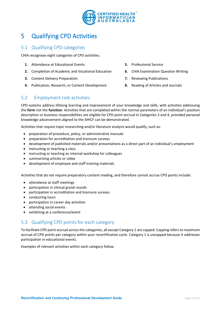

# <span id="page-8-0"></span>5 Qualifying CPD Activities

#### <span id="page-8-1"></span>5.1 Qualifying CPD categories

CHIA recognises eight categories of CPD activities:

- **1.** Attendance at Educational Events
- **2.** Completion of Academic and Vocational Education
- **3.** Content Delivery Preparation
- **4.** Publication, Research, or Content Development
- **5.** Professional Service
- **6.** CHIA Examination Question Writing
- **7.** Reviewing Publications
- **8.** Reading of Articles and Journals

### <span id="page-8-2"></span>5.2 Employment role activities

CPD systems address lifelong learning and improvement of your knowledge and skills, with activities addressing the **form** not the **function**. Activities that are completed within the normal parameters of an individual's position description or business responsibilities are eligible for CPD point accrual in Categories 3 and 4, provided personal knowledge advancement aligned to the AHICF can be demonstrated.

Activities that require topic researching and/or literature analysis would qualify, such as:

- preparation of procedure, policy, or administrative manuals
- preparation for accreditation and licensure surveys
- development of published materials and/or presentations as a direct part of an individual's employment
- instructing or teaching a class
- instructing or teaching an internal workshop for colleagues
- summarising articles or video
- development of employee and staff training materials

Activities that do not require preparatory content reading, and therefore cannot accrue CPD points include:

- attendance at staff meetings
- participation in clinical grand rounds
- participation in accreditation and licensure surveys
- conducting tours
- participation in career day activities
- attending social events
- exhibiting at a conference/event

### <span id="page-8-3"></span>5.3 Qualifying CPD points for each category

To facilitate CPD point accrual across the categories, all except Category 1 are capped. Capping refers to maximum accrual of CPD points per category within your recertification cycle. Category 1 is uncapped because it addresses participation in educational events.

Examples of relevant activities within each category follow.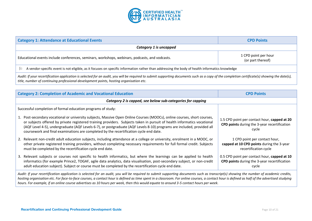

| <b>Category 1: Attendance at Educational Events</b>                                                                                                                                                                                                                                     | <b>CPD Points</b>                         |  |
|-----------------------------------------------------------------------------------------------------------------------------------------------------------------------------------------------------------------------------------------------------------------------------------------|-------------------------------------------|--|
| Category 1 is uncapped                                                                                                                                                                                                                                                                  |                                           |  |
| Educational events include conferences, seminars, workshops, webinars, podcasts, and vodcasts.                                                                                                                                                                                          | 1 CPD point per hour<br>(or part thereof) |  |
| A vendor-specific event is not eligible, as it focuses on specific information rather than addressing the body of health informatics knowledge<br>Þ                                                                                                                                     |                                           |  |
| Audit: If your recertification application is selected for an audit, you will be required to submit supporting documents such as a copy of the completion certificate(s) showing the date(s),<br>title, number of continuing professional development points, hosting organisation etc. |                                           |  |

| <b>Category 2: Completion of Academic and Vocational Education</b>                                                                                                                                                                                                                                                                                                                                                                                                       | <b>CPD Points</b>                                                                                     |
|--------------------------------------------------------------------------------------------------------------------------------------------------------------------------------------------------------------------------------------------------------------------------------------------------------------------------------------------------------------------------------------------------------------------------------------------------------------------------|-------------------------------------------------------------------------------------------------------|
| Category 2 is capped, see below sub-categories for capping                                                                                                                                                                                                                                                                                                                                                                                                               |                                                                                                       |
| Successful completion of formal education programs of study:                                                                                                                                                                                                                                                                                                                                                                                                             |                                                                                                       |
| 1. Post-secondary vocational or university subjects, Massive Open Online Courses (MOOCs), online courses, short courses,<br>or subjects offered by private registered training providers. Subjects taken in pursuit of health informatics vocational<br>(AQF Level 4-5), undergraduate (AQF Levels 6-7), or postgraduate (AQF Levels 8-10) programs are included, provided all<br>coursework and final examinations are completed by the recertification cycle end date. | 1.5 CPD point per contact hour, capped at 20<br>CPD points during the 3-year recertification<br>cycle |
| 2. Relevant non-credit adult education subjects, including attendance at a college or university, enrolment in a MOOC, or<br>other private registered training providers, without completing necessary requirements for full formal credit. Subjects<br>must be completed by the recertification cycle end date.                                                                                                                                                         | 1 CPD point per contact hour,<br>capped at 10 CPD points during the 3-year<br>recertification cycle   |
| 3. Relevant subjects or courses not specific to health informatics, but where the learnings can be applied to health<br>informatics (for example Prince2, TOGAF, agile data analytics, data visualisation, post-secondary subject, or non-credit<br>adult education subject). Subject or course must be completed by the recertification cycle end date.                                                                                                                 | 0.5 CPD point per contact hour, capped at 10<br>CPD points during the 3-year recertification<br>cycle |
|                                                                                                                                                                                                                                                                                                                                                                                                                                                                          |                                                                                                       |

*Audit: If your recertification application is selected for an audit, you will be required to submit supporting documents such as transcript(s) showing the number of academic credits, hosting organisation etc. For face-to-face courses, a contact hour is defined as time spent in a classroom. For online courses, a contact hour is defined as half of the advertised studying hours. For example, if an online course advertises as 10 hours per week, then this would equate to around 3-5 contact hours per week.*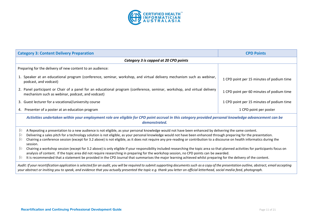

| <b>Category 3: Content Delivery Preparation</b>                                                                                                                                                                                                                                                                                                                                                                                                                                                                                                                                                                                                                                                                                                                                                                                                                                                                                                                                                                                                                   | <b>CPD Points</b>                         |  |
|-------------------------------------------------------------------------------------------------------------------------------------------------------------------------------------------------------------------------------------------------------------------------------------------------------------------------------------------------------------------------------------------------------------------------------------------------------------------------------------------------------------------------------------------------------------------------------------------------------------------------------------------------------------------------------------------------------------------------------------------------------------------------------------------------------------------------------------------------------------------------------------------------------------------------------------------------------------------------------------------------------------------------------------------------------------------|-------------------------------------------|--|
| Category 3 is capped at 20 CPD points                                                                                                                                                                                                                                                                                                                                                                                                                                                                                                                                                                                                                                                                                                                                                                                                                                                                                                                                                                                                                             |                                           |  |
| Preparing for the delivery of new content to an audience:                                                                                                                                                                                                                                                                                                                                                                                                                                                                                                                                                                                                                                                                                                                                                                                                                                                                                                                                                                                                         |                                           |  |
| 1. Speaker at an educational program (conference, seminar, workshop, and virtual delivery mechanism such as webinar,<br>podcast, and vodcast)                                                                                                                                                                                                                                                                                                                                                                                                                                                                                                                                                                                                                                                                                                                                                                                                                                                                                                                     | 1 CPD point per 15 minutes of podium time |  |
| 2. Panel participant or Chair of a panel for an educational program (conference, seminar, workshop, and virtual delivery<br>mechanism such as webinar, podcast, and vodcast)                                                                                                                                                                                                                                                                                                                                                                                                                                                                                                                                                                                                                                                                                                                                                                                                                                                                                      | 1 CPD point per 60 minutes of podium time |  |
| 3. Guest lecturer for a vocational/university course                                                                                                                                                                                                                                                                                                                                                                                                                                                                                                                                                                                                                                                                                                                                                                                                                                                                                                                                                                                                              | 1 CPD point per 15 minutes of podium time |  |
| 4. Presenter of a poster at an education program                                                                                                                                                                                                                                                                                                                                                                                                                                                                                                                                                                                                                                                                                                                                                                                                                                                                                                                                                                                                                  | 1 CPD point per poster                    |  |
| Activities undertaken within your employment role are eligible for CPD point accrual in this category provided personal knowledge advancement can be<br>demonstrated.                                                                                                                                                                                                                                                                                                                                                                                                                                                                                                                                                                                                                                                                                                                                                                                                                                                                                             |                                           |  |
| A Repeating a presentation to a new audience is not eligible, as your personal knowledge would not have been enhanced by delivering the same content.<br>Þ<br>Þ<br>Delivering a sales pitch for a technology solution is not eligible, as your personal knowledge would not have been enhanced through preparing for the presentation.<br>Þ<br>Chairing a conference session (except for 3.2 above) is not eligible, as it does not require any pre-reading or contribution to a discourse on health informatics during the<br>session.<br>Chairing a workshop session (except for 3.2 above) is only eligible if your responsibility included researching the topic area so that planned activities for participants focus on<br>$\mathbb{R}$<br>analysis of content. If the topic area did not require researching in preparing for the workshop session, no CPD points can be awarded.<br>It is recommended that a statement be provided in the CPD Journal that summarises the major learning achieved whilst preparing for the delivery of the content.<br>Þ |                                           |  |
| Audit: If your recertification application is selected for an audit, you will be required to submit supporting documents such as a copy of the presentation outline, abstract, email accepting<br>your abstract or inviting you to speak, and evidence that you actually presented the topic e.g. thank you letter on official letterhead, social media feed, photograph.                                                                                                                                                                                                                                                                                                                                                                                                                                                                                                                                                                                                                                                                                         |                                           |  |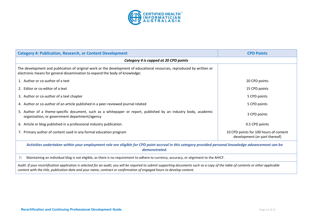

| <b>Category 4: Publication, Research, or Content Development</b>                                                                                                                                                                                                                                              | <b>CPD Points</b>                                                       |  |
|---------------------------------------------------------------------------------------------------------------------------------------------------------------------------------------------------------------------------------------------------------------------------------------------------------------|-------------------------------------------------------------------------|--|
| Category 4 is capped at 20 CPD points                                                                                                                                                                                                                                                                         |                                                                         |  |
| The development and publication of original work or the development of educational resources, reproduced by written or<br>electronic means for general dissemination to expand the body of knowledge:                                                                                                         |                                                                         |  |
| 1. Author or co-author of a text                                                                                                                                                                                                                                                                              | 20 CPD points                                                           |  |
| 2. Editor or co-editor of a text                                                                                                                                                                                                                                                                              | 15 CPD points                                                           |  |
| 3. Author or co-author of a text chapter                                                                                                                                                                                                                                                                      | 5 CPD points                                                            |  |
| 4. Author or co-author of an article published in a peer-reviewed journal related                                                                                                                                                                                                                             | 5 CPD points                                                            |  |
| 5. Author of a theme-specific document, such as a whitepaper or report, published by an industry body, academic<br>organisation, or government department/agency                                                                                                                                              | 3 CPD points                                                            |  |
| 6. Article or blog published in a professional industry publication.                                                                                                                                                                                                                                          | 0.5 CPD points                                                          |  |
| 7. Primary author of content used in any formal education program                                                                                                                                                                                                                                             | 10 CPD points for 100 hours of content<br>development (or part thereof) |  |
| Activities undertaken within your employment role are eligible for CPD point accrual in this category provided personal knowledge advancement can be<br>demonstrated.                                                                                                                                         |                                                                         |  |
| ᡅ<br>Maintaining an individual blog is not eligible, as there is no requirement to adhere to currency, accuracy, or alignment to the AHICF.                                                                                                                                                                   |                                                                         |  |
| Audit: If your recertification application is selected for an audit, you will be required to submit supporting documents such as a copy of the table of contents or other applicable<br>content with the title, publication date and your name, contract or confirmation of engaged hours to develop content. |                                                                         |  |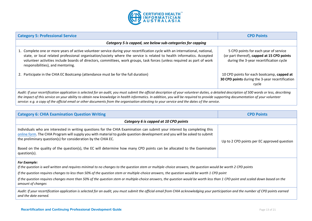

| <b>Category 5: Professional Service</b>                                                                                                                                                                                                                                                                                                                                                                                | <b>CPD Points</b>                                                                                                              |  |
|------------------------------------------------------------------------------------------------------------------------------------------------------------------------------------------------------------------------------------------------------------------------------------------------------------------------------------------------------------------------------------------------------------------------|--------------------------------------------------------------------------------------------------------------------------------|--|
| Category 5 is capped, see below sub-categories for capping                                                                                                                                                                                                                                                                                                                                                             |                                                                                                                                |  |
| 1. Complete one or more years of active volunteer service during your recertification cycle with an international, national,<br>state, or local related professional organisation/society where the service is related to health informatics. Accepted<br>volunteer activities include boards of directors, committees, work groups, task forces (unless required as part of work<br>responsibilities), and mentoring. | 5 CPD points for each year of service<br>(or part thereof), capped at 15 CPD points<br>during the 3-year recertification cycle |  |
| 2. Participate in the CHIA EC Bootcamp (attendance must be for the full duration)                                                                                                                                                                                                                                                                                                                                      | 10 CPD points for each bootcamp, capped at<br>30 CPD points during the 3-year recertification<br>cycle                         |  |
| Audit: If your recertification application is selected for an audit, you must submit the official description of your volunteer duties, a detailed description of 500 words or less, describing<br>the impact of this sensice on your ability to obtain new knowledge in health informatics. In addition, you will be required to provide supporting documentation of your volunteer                                   |                                                                                                                                |  |

*the impact of this service on your ability to obtain new knowledge in health informatics. In addition, you will be required to provide supporting documentation of your volunteer service: e.g. a copy of the official email or other documents from the organisation attesting to your service and the dates of the service.*

| <b>Category 6: CHIA Examination Question Writing</b>                                                                                                                                                                                                                                                                   | <b>CPD Points</b>                           |  |  |  |  |
|------------------------------------------------------------------------------------------------------------------------------------------------------------------------------------------------------------------------------------------------------------------------------------------------------------------------|---------------------------------------------|--|--|--|--|
| Category 6 is capped at 10 CPD points                                                                                                                                                                                                                                                                                  |                                             |  |  |  |  |
| Individuals who are interested in writing questions for the CHIA Examination can submit your interest by completing this<br>online form. The CHIA Program will supply you with material to guide question development and you will be asked to submit<br>the preliminary question(s) for consideration by the CHIA EC. | Up to 2 CPD points per EC approved question |  |  |  |  |
| Based on the quality of the question(s), the EC will determine how many CPD points can be allocated to the Examination<br>question(s).                                                                                                                                                                                 |                                             |  |  |  |  |
| <b>For Example:</b>                                                                                                                                                                                                                                                                                                    |                                             |  |  |  |  |
| If the question is well written and requires minimal to no changes to the question stem or multiple-choice answers, the question would be worth 2 CPD points                                                                                                                                                           |                                             |  |  |  |  |
| If the question requires changes to less than 50% of the question stem or multiple-choice answers, the question would be worth 1 CPD point                                                                                                                                                                             |                                             |  |  |  |  |
| If the question requires changes more than 50% of the question stem or multiple-choice answers, the question would be worth less than 1 CPD point and scaled down based on the<br>amount of changes                                                                                                                    |                                             |  |  |  |  |
| Audit: If your recertification application is selected for an audit, you must submit the official email from CHIA acknowledging your participation and the number of CPD points earned<br>and the date earned.                                                                                                         |                                             |  |  |  |  |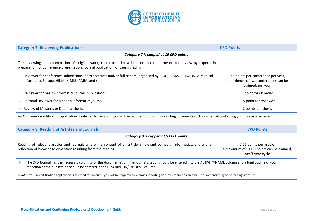

| <b>Category 7: Reviewing Publications</b>                                                                                                                                                              | <b>CPD Points</b>                                                                               |  |  |  |
|--------------------------------------------------------------------------------------------------------------------------------------------------------------------------------------------------------|-------------------------------------------------------------------------------------------------|--|--|--|
| Category 7 is capped at 10 CPD points                                                                                                                                                                  |                                                                                                 |  |  |  |
| The reviewing and examination of original work, reproduced by written or electronic means for review by experts in<br>preparation for conference presentation, journal publication, or thesis grading. |                                                                                                 |  |  |  |
| 1. Reviewer for conference submissions, both abstracts and/or full papers, organised by AIDH, HIMAA, HINZ, IMIA Medical<br>Informatics Europe, HIKM, HIMSS, AMIA, and so on                            | 0.5 points per conference per year,<br>a maximum of two conferences can be<br>claimed, per year |  |  |  |
| 2. Reviewer for health informatics journal publications.                                                                                                                                               | 1 point for reviewer                                                                            |  |  |  |
| 3. Editorial Reviewer for a health informatics journal.                                                                                                                                                | 1.5 point for reviewer                                                                          |  |  |  |
| 4. Review of Master's or Doctoral thesis.                                                                                                                                                              | 2 points per thesis                                                                             |  |  |  |
| Audit: If your recertification application is selected for an audit, you will be required to submit supporting documents such as an email confirming your role as a reviewer.                          |                                                                                                 |  |  |  |

| <b>Category 8: Reading of Articles and Journals</b>                                                                                                                                                                                                            | <b>CPD Points</b>                                                                         |  |  |  |
|----------------------------------------------------------------------------------------------------------------------------------------------------------------------------------------------------------------------------------------------------------------|-------------------------------------------------------------------------------------------|--|--|--|
| Category 8 is capped at 5 CPD points                                                                                                                                                                                                                           |                                                                                           |  |  |  |
| Reading of relevant articles and journals where the content of an article is relevant to health informatics, and a brief<br>reflection of knowledge expansion resulting from the reading.                                                                      | 0.25 points per article,<br>a maximum of 5 CPD points can be claimed,<br>per 3-year cycle |  |  |  |
| The CPD Journal has the necessary columns for this documentation. The journal citation should be entered into the ACTIVITY/NAME column and a brief outline of your<br>闱<br>reflection of the publication should be entered in the DESCRIPTION/SYNOPSIS column. |                                                                                           |  |  |  |
| Audit: If your recertification application is selected for an audit, you will be required to submit supporting documents such as an email, or link confirming your reading activities.                                                                         |                                                                                           |  |  |  |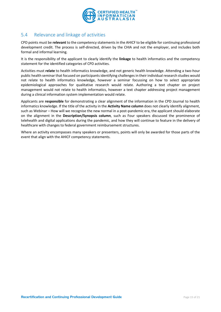

### <span id="page-14-0"></span>5.4 Relevance and linkage of activities

CPD points must be **relevant** to the competency statements in the AHICF to be eligible for continuing professional development credit. The process is self-directed, driven by the CHIA and not the employer, and includes both formal and informal learning.

It is the responsibility of the applicant to clearly identify the **linkage** to health informatics and the competency statement for the identified categories of CPD activities.

Activities must **relate** to health informatics knowledge, and not generic health knowledge. Attending a two-hour public health seminar that focused on participants identifying challenges in their individual research studies would not relate to health informatics knowledge, however a seminar focussing on how to select appropriate epidemiological approaches for qualitative research would relate. Authoring a text chapter on project management would not relate to health informatics, however a text chapter addressing project management during a clinical information system implementation would relate.

Applicants are **responsible** for demonstrating a clear alignment of the information in the CPD Journal to health informatics knowledge. If the title of the activity in the **Activity Name column** does not clearly identify alignment, such as Webinar – How will we recognise the new normal in a post-pandemic era, the applicant should elaborate on the alignment in the **Description/Synopsis column**, such as Four speakers discussed the prominence of telehealth and digital applications during the pandemic, and how they will continue to feature in the delivery of healthcare with changes to federal government reimbursement structures.

Where an activity encompasses many speakers or presenters, points will only be awarded for those parts of the event that align with the AHICF competency statements.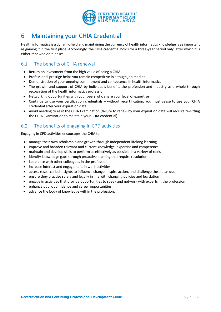

# <span id="page-15-0"></span>6 Maintaining your CHIA Credential

Health informatics is a dynamic field and maintaining the currency of health informatics knowledge is as important as gaining it in the first place. Accordingly, the CHIA credential holds for a three-year period only, after which it is either renewed or it lapses.

### <span id="page-15-1"></span>6.1 The benefits of CHIA renewal

- Return on investment from the high value of being a CHIA
- Professional prestige helps you remain competitive in a tough job market
- Demonstration of your ongoing commitment and competence in health informatics
- The growth and support of CHIA by individuals benefits the profession and industry as a whole through recognition of the health informatics profession
- Networking opportunities with your peers who share your level of expertise
- Continue to use your certification credentials without recertification, you must cease to use your CHIA credential after your expiration date
- Avoid needing to resit the CHIA Examination (failure to renew by your expiration date will require re-sitting the CHIA Examination to maintain your CHIA credential)

### <span id="page-15-2"></span>6.2 The benefits of engaging in CPD activities

Engaging in CPD activities encourages the CHIA to:

- manage their own scholarship and growth through independent lifelong learning
- improve and broaden relevant and current knowledge, expertise and competence
- maintain and develop skills to perform as effectively as possible in a variety of roles
- identify knowledge gaps through proactive learning that require resolution
- keep pace with other colleagues in the profession
- increase interest and engagement in work activities
- access research-led insights to influence change, inspire action, and challenge the status quo
- ensure they practise safely and legally in line with changing policies and legislation
- engage in activities that provide opportunities to speak and network with experts in the profession
- enhance public confidence and career opportunities
- advance the body of knowledge within the profession.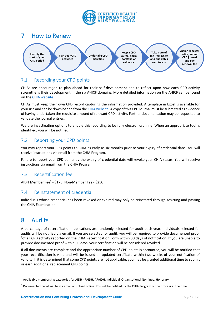

<span id="page-16-0"></span>

### <span id="page-16-1"></span>7.1 Recording your CPD points

CHIAs are encouraged to plan ahead for their self-development and to reflect upon how each CPD activity strengthens their development in the six AHICF domains. More detailed information on the AHICF can be found on the [CHIA website.](http://www.healthinformaticscertification.com/competency-framework/)

CHIAs must keep their own CPD record capturing the information provided. A template in Excel is available for your use and can be downloaded from th[e CHIA website.](http://www.healthinformaticscertification.com/recertification/) A copy of this CPD Journal must be submitted as evidence of having undertaken the requisite amount of relevant CPD activity. Further documentation may be requested to validate the journal entries.

We are investigating options to enable this recording to be fully electronic/online. When an appropriate tool is identified, you will be notified.

### <span id="page-16-2"></span>7.2 Reporting your CPD points

You may report your CPD points to CHIA as early as six months prior to your expiry of credential date. You will receive instructions via email from the CHIA Program.

Failure to report your CPD points by the expiry of credential date will revoke your CHIA status. You will receive instructions via email from the CHIA Program.

### <span id="page-16-3"></span>7.3 Recertification fee

AIDH Member Fee<sup>2</sup> - \$175; Non-Member Fee - \$250

### <span id="page-16-4"></span>7.4 Reinstatement of credential

Individuals whose credential has been revoked or expired may only be reinstated through resitting and passing the CHIA Examination.

# <span id="page-16-5"></span>8 Audits

A percentage of recertification applications are randomly selected for audit each year. Individuals selected for audits will be notified via email. If you are selected for audit, you will be required to provide documented proof <sup>3</sup>of all CPD activity reported on the CHIA Recertification Form within 30 days of notification. If you are unable to provide documented proof within 30 days, your certification will be considered revoked.

If all documents are complete and the appropriate number of CPD points is accounted, you will be notified that your recertification is valid and will be issued an updated certificate within two weeks of your notification of validity. If it is determined that some CPD points are not applicable, you may be granted additional time to submit or earn additional replacement CPD points.

<sup>&</sup>lt;sup>2</sup> Applicable membership categories for AIDH - FAIDH, AFAIDH, Individual, Organisational Nominee, Honorary

 $3$  Documented proof will be via email or upload online. You will be notified by the CHIA Program of the process at the time.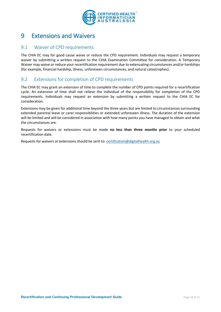

# <span id="page-17-0"></span>9 Extensions and Waivers

#### <span id="page-17-1"></span>9.1 Waiver of CPD requirements

The CHIA EC may for good cause waive or reduce the CPD requirement. Individuals may request a temporary waiver by submitting a written request to the CHIA Examination Committee for consideration. A Temporary Waiver may waive or reduce your recertification requirement due to extenuating circumstances and/or hardships (for example, financial hardship, illness, unforeseen circumstances, and natural catastrophes).

#### <span id="page-17-2"></span>9.2 Extensions for completion of CPD requirements

The CHIA EC may grant an extension of time to complete the number of CPD points required for a recertification cycle. An extension of time shall not relieve the individual of the responsibility for completion of the CPD requirements. Individuals may request an extension by submitting a written request to the CHIA EC for consideration.

Extensions may be given for additional time beyond the three years but are limited to circumstances surrounding extended parental leave or carer responsibilities or extended unforeseen illness. The duration of the extension will be limited and will be considered in association with how many points you have managed to obtain and what the circumstances are.

Requests for waivers or extensions must be made **no less than three months prior** to your scheduled recertification date.

Requests for waivers or extensions should be sent to[: certification@digitalhealth.org.au](mailto:certification@digitalhealth.org.au)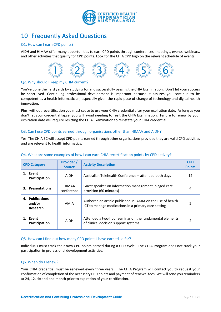

# <span id="page-18-0"></span>10 Frequently Asked Questions

#### Q1. How can I earn CPD points?

AIDH and HIMAA offer many opportunities to earn CPD points through conferences, meetings, events, webinars, and other activities that qualify for CPD points. Look for the CHIA CPD logo on the relevant schedule of events.



#### Q2. Why should I keep my CHIA current?

You've done the hard yards by studying for and successfully passing the CHIA Examination. Don't let your success be short-lived. Continuing professional development is important because it assures you continue to be competent as a health informatician, especially given the rapid pace of change of technology and digital health innovation.

Plus, without recertification you must cease to use your CHIA credential after your expiration date. As long as you don't let your credential lapse, you will avoid needing to resit the CHIA Examination. Failure to renew by your expiration date will require resitting the CHIA Examination to reinstate your CHIA credential.

#### Q3. Can I use CPD points earned through organisations other than HIMAA and AIDH?

Yes. The CHIA EC will accept CPD points earned through other organisations provided they are valid CPD activities and are relevant to health informatics.

| <b>Provider /</b><br><b>CPD Category</b><br><b>Source</b> |                                       |                     | <b>Activity Description</b>                                                                                        | <b>CPD</b><br><b>Points</b> |
|-----------------------------------------------------------|---------------------------------------|---------------------|--------------------------------------------------------------------------------------------------------------------|-----------------------------|
|                                                           | 1. Event<br>Participation             | <b>AIDH</b>         | Australian Telehealth Conference – attended both days                                                              | 12                          |
|                                                           | 3. Presentations                      | HIMAA<br>conference | Guest speaker on information management in aged care<br>provision (60 minutes)                                     | 4                           |
|                                                           | 4. Publications<br>and/or<br>Research | AMIA                | Authored an article published in JAMIA on the use of health<br>ICT to manage medications in a primary care setting | 5                           |
|                                                           | 1. Event<br>Participation             | <b>AIDH</b>         | Attended a two-hour seminar on the fundamental elements<br>of clinical decision support systems                    |                             |

#### Q4. What are some examples of how I can earn CHIA recertification points by CPD activity?

#### Q5. How can I find out how many CPD points I have earned so far?

Individuals must track their own CPD points earned during a CPD cycle. The CHIA Program does not track your participation in professional development activities.

#### Q6. When do I renew?

Your CHIA credential must be renewed every three years. The CHIA Program will contact you to request your confirmation of completion of the necessary CPD points and payment of renewal fees. We will send you reminders at 24, 12, six and one month prior to expiration of your certification.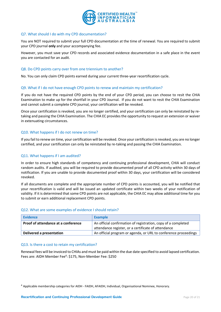

#### Q7. What should I do with my CPD documentation?

You are NOT required to submit your full CPD documentation at the time of renewal. You are required to submit your CPD journal **only** and your accompanying fee.

However, you must save your CPD records and associated evidence documentation in a safe place in the event you are contacted for an audit.

#### Q8. Do CPD points carry over from one triennium to another?

No. You can only claim CPD points earned during your current three-year recertification cycle.

#### Q9. What if I do not have enough CPD points to renew and maintain my certification?

If you do not have the required CPD points by the end of your CPD period, you can choose to resit the CHIA Examination to make up for the shortfall in your CPD Journal. If you do not want to resit the CHIA Examination and cannot submit a complete CPD journal, your certification will be revoked.

Once your certification is revoked, you are no longer certified, and your certification can only be reinstated by retaking and passing the CHIA Examination. The CHIA EC provides the opportunity to request an extension or waiver in extenuating circumstances.

#### Q10. What happens if I do not renew on time?

If you fail to renew on time, your certification will be revoked. Once your certification is revoked, you are no longer certified, and your certification can only be reinstated by re-taking and passing the CHIA Examination.

#### Q11. What happens if I am audited?

In order to ensure high standards of competency and continuing professional development, CHIA will conduct random audits. If audited, you will be required to provide documented proof of all CPD activity within 30 days of notification. If you are unable to provide documented proof within 30 days, your certification will be considered revoked.

If all documents are complete and the appropriate number of CPD points is accounted, you will be notified that your recertification is valid and will be issued an updated certificate within two weeks of your notification of validity. If it is determined that some CPD points are not applicable, the CHIA EC may allow additional time for you to submit or earn additional replacement CPD points.

#### Q12. What are some examples of evidence I should retain?

| <b>Evidence</b>                     | <b>Example</b>                                                  |
|-------------------------------------|-----------------------------------------------------------------|
| Proof of attendance at a conference | An official confirmation of registration, copy of a completed   |
|                                     | attendance register, or a certificate of attendance             |
| Delivered a presentation            | An official program or agenda, or URL to conference proceedings |

#### Q13. Is there a cost to retain my certification?

Renewal fees will be invoiced to CHIAs and must be paid within the due date specified to avoid lapsed certification. Fees are: AIDH Member Fee<sup>4</sup>: \$175, Non-Member Fee: \$250

<sup>4</sup> Applicable membership categories for AIDH - FAIDH, AFAIDH, Individual, Organisational Nominee, Honorary.